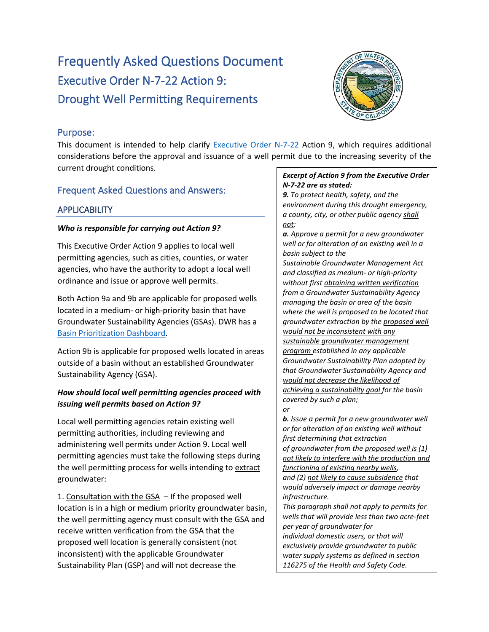# Frequently Asked Questions Document Executive Order N-7-22 Action 9: Drought Well Permitting Requirements



# Purpose:

This document is intended to help clarify [Executive Order N-7-22](https://www.gov.ca.gov/wp-content/uploads/2022/03/March-2022-Drought-EO.pdf) Action 9, which requires additional considerations before the approval and issuance of a well permit due to the increasing severity of the current drought conditions.

# Frequent Asked Questions and Answers:

# **APPLICABILITY**

## *Who is responsible for carrying out Action 9?*

This Executive Order Action 9 applies to local well permitting agencies, such as cities, counties, or water agencies, who have the authority to adopt a local well ordinance and issue or approve well permits.

Both Action 9a and 9b are applicable for proposed wells located in a medium- or high-priority basin that have Groundwater Sustainability Agencies (GSAs). DWR has a [Basin Prioritization Dashboard.](https://gis.water.ca.gov/app/bp-dashboard/final/)

Action 9b is applicable for proposed wells located in areas outside of a basin without an established Groundwater Sustainability Agency (GSA).

# *How should local well permitting agencies proceed with issuing well permits based on Action 9?*

Local well permitting agencies retain existing well permitting authorities, including reviewing and administering well permits under Action 9. Local well permitting agencies must take the following steps during the well permitting process for wells intending to extract groundwater:

1. Consultation with the GSA – If the proposed well location is in a high or medium priority groundwater basin, the well permitting agency must consult with the GSA and receive written verification from the GSA that the proposed well location is generally consistent (not inconsistent) with the applicable Groundwater Sustainability Plan (GSP) and will not decrease the

## *Excerpt of Action 9 from the Executive Order N-7-22 are as stated:*

*9. To protect health, safety, and the environment during this drought emergency, a county, city, or other public agency shall not:*

*a. Approve a permit for a new groundwater well or for alteration of an existing well in a basin subject to the* 

*Sustainable Groundwater Management Act and classified as medium- or high-priority without first obtaining written verification from a Groundwater Sustainability Agency managing the basin or area of the basin where the well is proposed to be located that groundwater extraction by the proposed well would not be inconsistent with any sustainable groundwater management program established in any applicable Groundwater Sustainability Plan adopted by that Groundwater Sustainability Agency and would not decrease the likelihood of achieving a sustainability goal for the basin covered by such a plan;* 

*or*

*b. Issue a permit for a new groundwater well or for alteration of an existing well without first determining that extraction of groundwater from the proposed well is (1) not likely to interfere with the production and functioning of existing nearby wells, and (2) not likely to cause subsidence that would adversely impact or damage nearby infrastructure. This paragraph shall not apply to permits for wells that will provide less than two acre-feet per year of groundwater for individual domestic users, or that will exclusively provide groundwater to public water supply systems as defined in section 116275 of the Health and Safety Code.*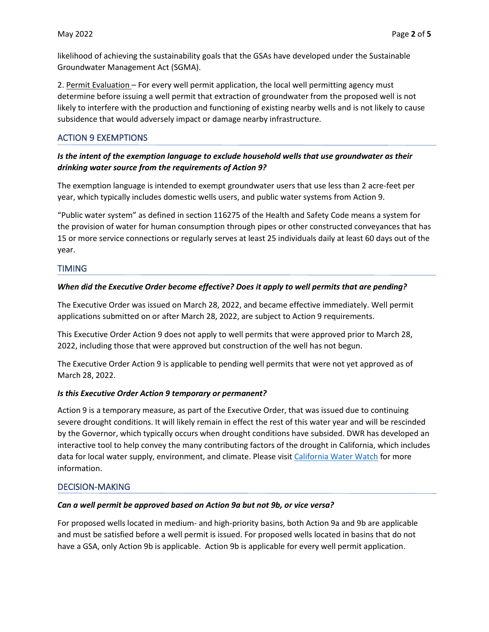likelihood of achieving the sustainability goals that the GSAs have developed under the Sustainable Groundwater Management Act (SGMA).

2. Permit Evaluation – For every well permit application, the local well permitting agency must determine before issuing a well permit that extraction of groundwater from the proposed well is not likely to interfere with the production and functioning of existing nearby wells and is not likely to cause subsidence that would adversely impact or damage nearby infrastructure.

## ACTION 9 EXEMPTIONS

## *Is the intent of the exemption language to exclude household wells that use groundwater as their drinking water source from the requirements of Action 9?*

The exemption language is intended to exempt groundwater users that use less than 2 acre-feet per year, which typically includes domestic wells users, and public water systems from Action 9.

"Public water system" as defined in section 116275 of the Health and Safety Code means a system for the provision of water for human consumption through pipes or other constructed conveyances that has 15 or more service connections or regularly serves at least 25 individuals daily at least 60 days out of the year.

## **TIMING**

## *When did the Executive Order become effective? Does it apply to well permits that are pending?*

The Executive Order was issued on March 28, 2022, and became effective immediately. Well permit applications submitted on or after March 28, 2022, are subject to Action 9 requirements.

This Executive Order Action 9 does not apply to well permits that were approved prior to March 28, 2022, including those that were approved but construction of the well has not begun.

The Executive Order Action 9 is applicable to pending well permits that were not yet approved as of March 28, 2022.

## *Is this Executive Order Action 9 temporary or permanent?*

Action 9 is a temporary measure, as part of the Executive Order, that was issued due to continuing severe drought conditions. It will likely remain in effect the rest of this water year and will be rescinded by the Governor, which typically occurs when drought conditions have subsided. DWR has developed an interactive tool to help convey the many contributing factors of the drought in California, which includes data for local water supply, environment, and climate. Please visit [California Water Watch](https://cww.water.ca.gov/) for more information.

## DECISION-MAKING

## *Can a well permit be approved based on Action 9a but not 9b, or vice versa?*

For proposed wells located in medium- and high-priority basins, both Action 9a and 9b are applicable and must be satisfied before a well permit is issued. For proposed wells located in basins that do not have a GSA, only Action 9b is applicable. Action 9b is applicable for every well permit application.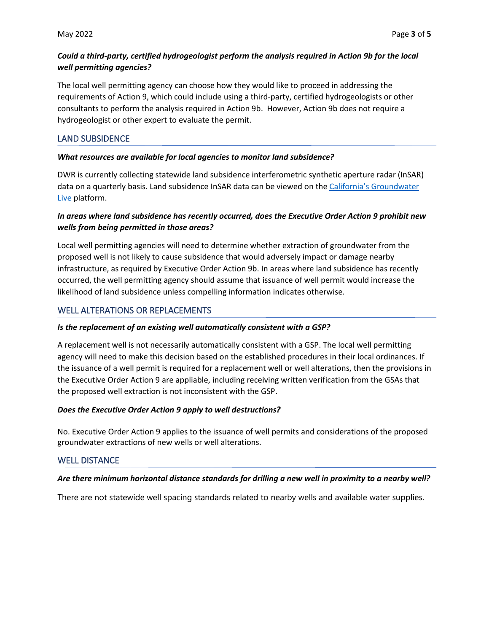## *Could a third-party, certified hydrogeologist perform the analysis required in Action 9b for the local well permitting agencies?*

The local well permitting agency can choose how they would like to proceed in addressing the requirements of Action 9, which could include using a third-party, certified hydrogeologists or other consultants to perform the analysis required in Action 9b. However, Action 9b does not require a hydrogeologist or other expert to evaluate the permit.

## LAND SUBSIDENCE

#### *What resources are available for local agencies to monitor land subsidence?*

DWR is currently collecting statewide land subsidence interferometric synthetic aperture radar (InSAR) data on a quarterly basis. Land subsidence InSAR data can be viewed on the California's [Groundwater](https://sgma.water.ca.gov/CalGWLive/)  [Live](https://sgma.water.ca.gov/CalGWLive/) platform.

## *In areas where land subsidence has recently occurred, does the Executive Order Action 9 prohibit new wells from being permitted in those areas?*

Local well permitting agencies will need to determine whether extraction of groundwater from the proposed well is not likely to cause subsidence that would adversely impact or damage nearby infrastructure, as required by Executive Order Action 9b. In areas where land subsidence has recently occurred, the well permitting agency should assume that issuance of well permit would increase the likelihood of land subsidence unless compelling information indicates otherwise.

## WELL ALTERATIONS OR REPLACEMENTS

## *Is the replacement of an existing well automatically consistent with a GSP?*

A replacement well is not necessarily automatically consistent with a GSP. The local well permitting agency will need to make this decision based on the established procedures in their local ordinances. If the issuance of a well permit is required for a replacement well or well alterations, then the provisions in the Executive Order Action 9 are appliable, including receiving written verification from the GSAs that the proposed well extraction is not inconsistent with the GSP.

## *Does the Executive Order Action 9 apply to well destructions?*

No. Executive Order Action 9 applies to the issuance of well permits and considerations of the proposed groundwater extractions of new wells or well alterations.

## WELL DISTANCE

## *Are there minimum horizontal distance standards for drilling a new well in proximity to a nearby well?*

There are not statewide well spacing standards related to nearby wells and available water supplies.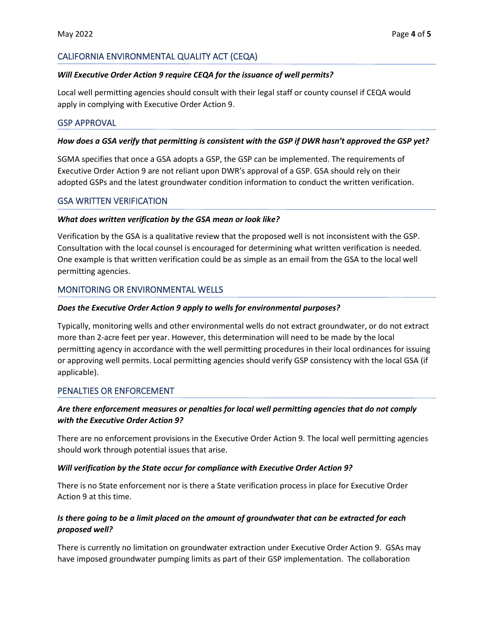## CALIFORNIA ENVIRONMENTAL QUALITY ACT (CEQA)

#### *Will Executive Order Action 9 require CEQA for the issuance of well permits?*

Local well permitting agencies should consult with their legal staff or county counsel if CEQA would apply in complying with Executive Order Action 9.

#### GSP APPROVAL

#### *How does a GSA verify that permitting is consistent with the GSP if DWR hasn't approved the GSP yet?*

SGMA specifies that once a GSA adopts a GSP, the GSP can be implemented. The requirements of Executive Order Action 9 are not reliant upon DWR's approval of a GSP. GSA should rely on their adopted GSPs and the latest groundwater condition information to conduct the written verification.

#### GSA WRITTEN VERIFICATION

#### *What does written verification by the GSA mean or look like?*

Verification by the GSA is a qualitative review that the proposed well is not inconsistent with the GSP. Consultation with the local counsel is encouraged for determining what written verification is needed. One example is that written verification could be as simple as an email from the GSA to the local well permitting agencies.

## MONITORING OR ENVIRONMENTAL WELLS

#### *Does the Executive Order Action 9 apply to wells for environmental purposes?*

Typically, monitoring wells and other environmental wells do not extract groundwater, or do not extract more than 2-acre feet per year. However, this determination will need to be made by the local permitting agency in accordance with the well permitting procedures in their local ordinances for issuing or approving well permits. Local permitting agencies should verify GSP consistency with the local GSA (if applicable).

## PENALTIES OR ENFORCEMENT

## *Are there enforcement measures or penalties for local well permitting agencies that do not comply with the Executive Order Action 9?*

There are no enforcement provisions in the Executive Order Action 9. The local well permitting agencies should work through potential issues that arise.

#### *Will verification by the State occur for compliance with Executive Order Action 9?*

There is no State enforcement nor is there a State verification process in place for Executive Order Action 9 at this time.

## *Is there going to be a limit placed on the amount of groundwater that can be extracted for each proposed well?*

There is currently no limitation on groundwater extraction under Executive Order Action 9. GSAs may have imposed groundwater pumping limits as part of their GSP implementation. The collaboration